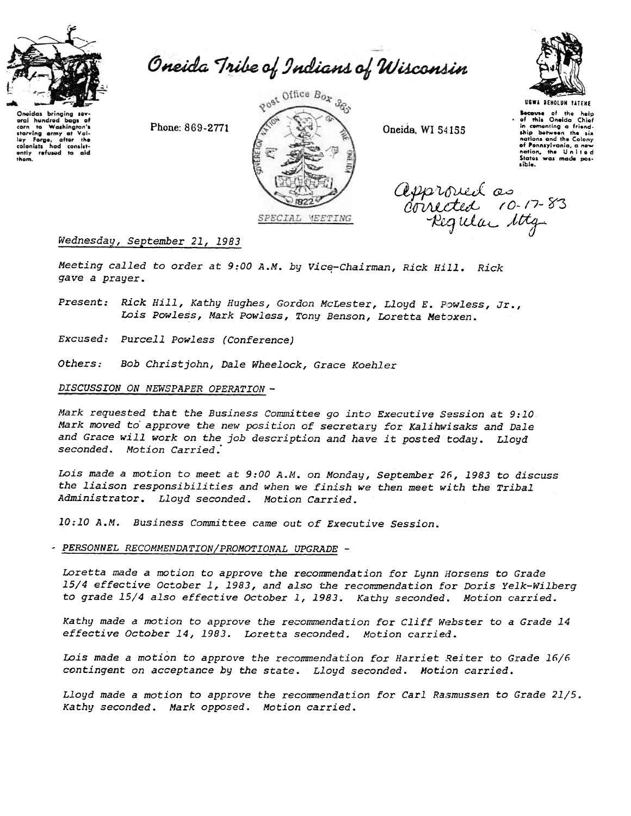

oral hundred bags of Washington's

com to washington's<br>starving army at Vol-<br>ley Forge, after the<br>colonists had consistently refused to aid

 $t^{\circ}$ 

them.

Oneida Tribe of Indians of Wisconsin





USWA DENOLUN YATENE Secouse of the help<br>.of this Oneida Chief<br>.in cementing a friend.<br>.ship between the six<br>notions and the Colony of Pennsylvania, a new<br>nation, the United Sixter complete the United lib!e.

approved as  $divNet$  10-17-8 Kegular 10tg

## Wednesday, September 21, 1983

Meeting called to order at 9:00 A.M. by Vice-Chairman, Rick Hill. Rich gave a prayer.

Present: Rick Hill, Kathy Hughes, Gordon McLester, Lloyd E. Powless, Jr., Lois Powless, Mark Powless, Tony Benson, Loretta Metoxen.

Excused: Purcell Powless (Conference)

*Others:* Bob Christ john, Dale Wheelock, Grace Koehler

### DISCUSSION ON NEWSPAPER OPERATION-

Mark requested that the Business Committee go into Executive Session at 9:10 Mark moved to' approve the new position of secretary for Ka1ihwisaks and Dale and Grace will work on the job description and have it posted today. Lloyd seconded. Motion Carried.

Lois made a motion to meet at 9:00 A.M. on Monday, September 26, 1983 to discuss the liaison responsibilities and when we finish we then meet with the Tribal Administrator. Lloyd seconded. Motion Carried.

10:10 A.M. Business Committee came out of Executive Session.

- PERSONNEL RECOMMENDATION/PROMOTIONAL UPGRADE -

Loretta made a motion to approve the recommendation for Lynn Horsens to Grade 15/4 effective October 1,1983, and also the recommendation for Doris Ye1k-Wilberg to grade 15/4 also effective October 1,1983. Kathy seconded. Motion carried.

Kathy made a motion to approve the recommendation for Cliff Webster to a Grade 14 effective October 14, 1983. Loretta seconded. Motion carried.

Lois made a motion to approve the recommendation for Harriet Reiter to Grade  $16/6$ contingent on acceptance by the state. Lloyd seconded. Motion carried.

Lloyd made a motion to approve the recommendation for Carl Rasmussen to Grade 21/5. Kathy seconded. Mark opposed. Motion carried.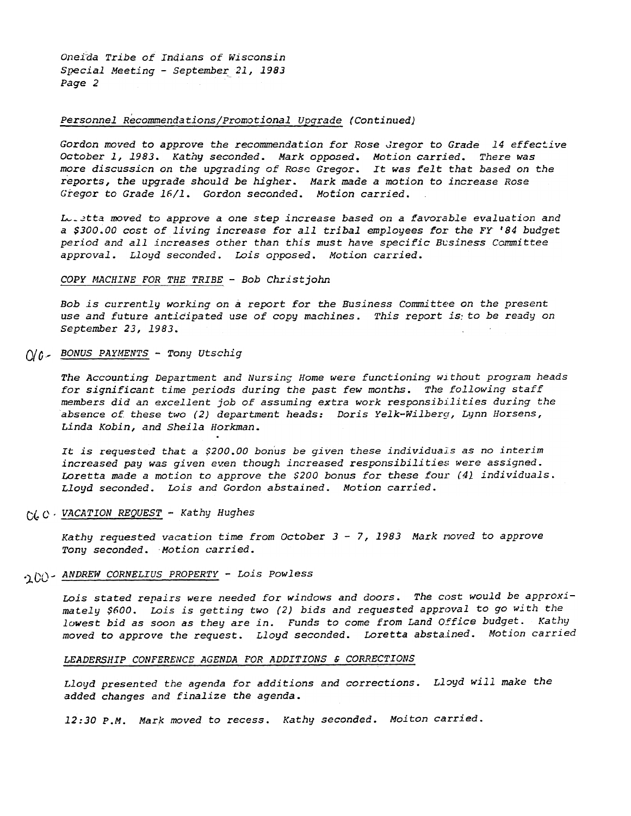Oneida Tribe of Indians of Wisconsin Special Meeting - September 21, 1983 Page 2

### Personnel Recommendations/Promotional Upgrade (Continued)

Gordon moved to approve the recommendation for Rose Gregor to Grade 14 effective October 1, 1983. Kathy seconded. Mark opposed. Motion carried. There was more discussicn on the upgrading of Rosc Gregor. It was felt that based on the reports, the upgrade should be higher. Mark made a motion to increase Rose Gregor to Grade 16/1. Gordon seconded. Motion carried.

Luistta moved to approve a one step increase based on a favorable evaluation and a \$300.00 cost of living increase for all tribal employees for the FY '84 budget period and all increases other than this must have specific Business Committee approval. Lloyd seconded. Lois opposed. Motion carried.

### COPY MACHINE FOR THE TRIBE - Bob Christjohn

Bob is currently working on a report for the Business Committee on the present use and future anticipated use of copy machines. This report is to be ready on September 23, 1983.

## $()$   $/$   $\ell$  - BONUS PAYMENTS - Tony Utschig

The Accounting Department and Nursing Home were functioning without program heads for significant time periods during the past few months. The following staff members did an excellent job of assuming extra work responsibilities during the absence of these two  $(2)$  department heads: Doris Yelk-Wilberg, Lynn Horsens, Linda Kobin, and Sheila Horkman.

It is requested that a \$200.00 bonus be given these individuals as no interim increased pay was given even though increased responsibilities were assigned. Loretta made a motion to approve the \$200 bonus for these four  $(4)$  individuals. Lloyd seconded. Lois and Gordon abstained. Motion carried.

## $C/L$   $C \cdot$  VACATION\_REQUEST - Kathy Hughes

Kathy requested vacation time from October 3 - 7, 1983 Mark noved to approv Tony seconded. Motion carried.

## '100 - ANDREW CORNELIUS PROPERTY - Lois Powless

Lois stated repairs were needed for windows and doors. The cost would be approximately \$600. Lois is getting two (2) bids and requested approval to go with the lowest bid as soon as they are in. Funds to come from Land Office budget. Kathy moved to approve the request. Lloyd seconded. Loretta abstained. Motion carried

### LEADERSHIP CONFERENCE AGENDA FOR ADDITIONS & CORRECTIONS

Lloyd presented the agenda for additions and corrections. Lloyd will make the added changes and finalize the agenda.

12:30 P.M. Mark moved to recess. Kathy seconded. Moiton carrie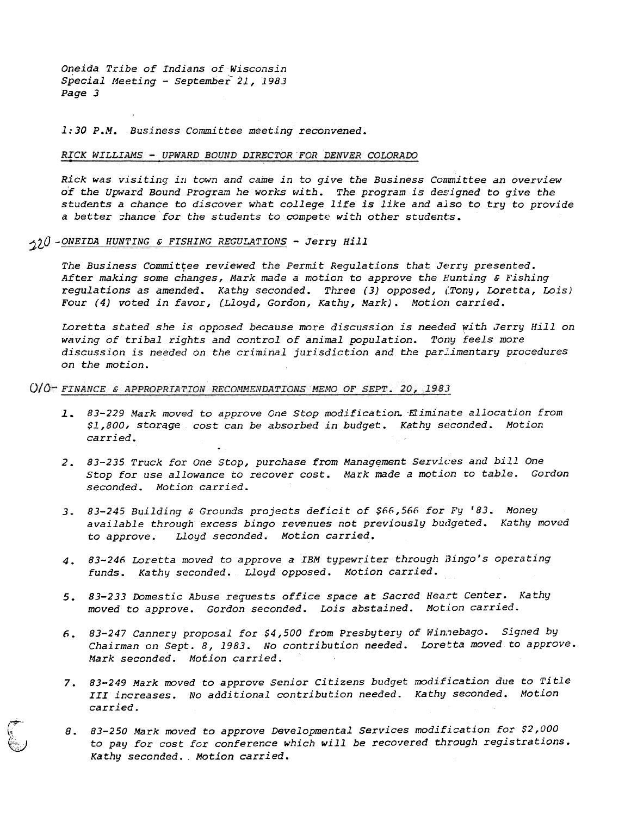Oneida Tribe of Indians of Wisconsin . Special Meeting - September 21, 1983 Page 3

1:30 P.M. Business Committee meeting reconvened.

#### RICK WILLIAMS - UPWARD BOUND DIRECTOR FOR DENVER COLORADO

Rick was visiting in town and came in to give the Business Committee an overview of the Upward Bound Program he works with. The program is designed to give the students a chance to discover what college life is like and aJ.so to try to provide a better shance for the students to compete with other students.

 $220$  -ONEIDA HUNTING & FISHING REGULATIONS - Jerry Hill

7..-'P"- f.

I:; ~

The Business Committee reviewed the Permit Regulations that Jerry presented. After making some changes, Mark made a motion to approve the Hunting  $s$  Fishing regulations as amended. Kathy seconded. Three (3) opposed, (Tony, Loretta, Lois) Four (4) voted in favor, (Lloyd, Gordon, Kathy, Mark). Motion carried.

Loretta stated she is opposed because more discussion is needed with Jerry Hill on waving of tribal rights and control of animal population. Tony feels more discussion is needed on the criminal jurisdiction and the parlimentary procedures on the motion.

O/O-FINANCE & APPROPRIATION RECOMMENDATIONS MEMO OF SEPT. 20, 1983

- 1. 83-229 Mark moved to approve One Stop modification. Eliminate allocation from \$1,800, storage cost can be absorbed in budget. Kathy seconded. Motion carried. .
- 2. 83-235 Truck for One Stop, purchase from Management Services and bill One Stop for use allowance to recover cost. Mark made a motion to table. Gordon seconded. Motion carried.
- available through excess bingo revenues not previously budgeted. Kathy moved to approve. Lloyd seconded.. Motion carried.
- 4. 83-246 Loretta moved to approve a IBM typewriter through Bingo's operating funds. Kathy seconded. Lloyd opposed. Motion carried.
- 5. 83-233 Domestic Abuse requests office space at Sacred Heart Center. Kathy moved to approve. Gordon seconded. Lois abstained. Motion carried.
- Chairman on Sept. 8, 1983. No contribution needed. Loretta moved to approve. Mark seconded. Motion carried. 6. 83-247 Cannery proposal for \$4,500 from Presbytery of Winnebago. Signed by
- 83-249 Mark moved to approve Senior citizens budget modification due to Title III increases. No additional contribution needed. Kathy seconded. Motion
- 2.83-245 Building 6 Crounds projects deficit of \$66,566 for Fy '8<br>
2.83-246 Loretta moved to approve a IBM typewriter through Budgeted<br>
1.83-246 Loretta moved to approve a IBM typewriter through Bingo'<br>
funds. Kathy second 3. 83-245 Building 6 Grounds projects deficit of See, See for the See Associated and the capture of the same that the provincing to approve. Loyd seconded. Motion carried.<br>
4. 83-246 Loretta moved to approve a IBM typewrit 5. 83-247 Cannery proposal for \$4,500 from Presbytery of Winnebago. Signed by<br>
Chairman on Sept. 8, 1983. No contribution needed. Loretta moved to approve<br>
Mark seconded. Motion carried.<br>
7. 83-249 Mark moved to approve S 83-250 Mark moved to approve Developmental Services modification for \$2,000 to pay for cost for conference which will be recovered through registrations. Kathy seconded.. Motion carried.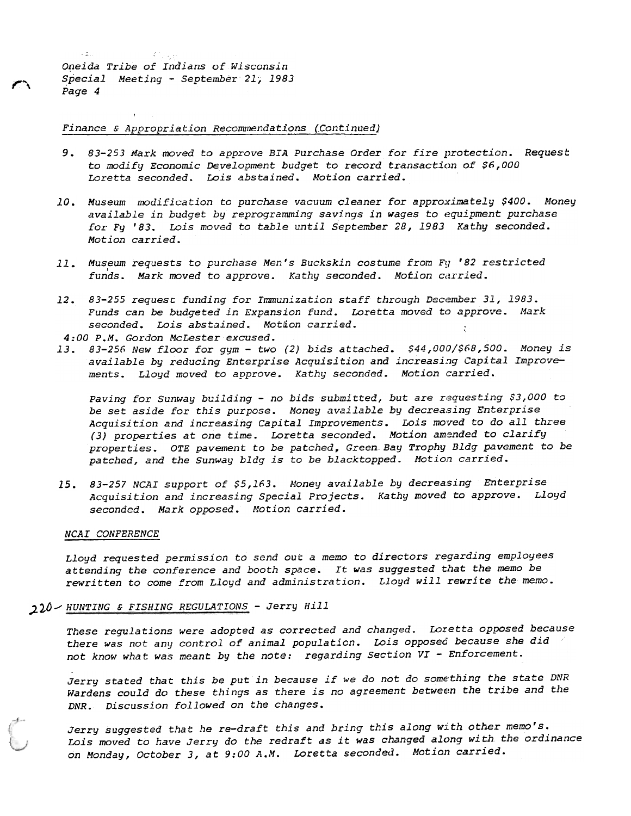```
~\rightarrow~\Xi_{\rm{tot}}ing the pr
Oneida Tribe of Indians of Wisconsin
Special Meeting - September 21, 1983
Page 4
```
~ r'\

Finance & Appropriation Recommendations (Continued)

- 83-253 Mark moved to approve BIA Purchase Order for fire protection. Request to modify Economic Development budget to record transaction of \$6,000 Loretta seconded. Lois abstained. Motion carried.
- 10. Museum modification to purchase vacuum cleaner for approximately \$400. Money available in budget by reprogramming savings in wages to equipment purchase for Fy '83. Lois moved to table until Septewher 28,1983 Kathy seconded. Motion carried.
- 11. Museum requests to purchase Men's Buckskin costume from Fy '82 restricted funds. Mark moved to approve. Kathy seconded. Motion carried.
- Funds can be budgeted in Expansion fund. Loretta moved to approve. Mark seconded. Lois abstained. Motion carried.  $\cdot$

4:00 P.M. Gordon McLester excused.

13. 83-256 New floor for gym - two (2) bids attached. \$44,000/\$68,500. Money is available by reducing Enterprise Acquisition and increasing Capital Improvements. Lloyd moved to approve. Kathy seconded. Motion carried.

12. 83-255 request funding for Immunization staff through December 11,1983.<br>
Funds can be budgeted in Expansion fund. Loretta moved to approve.<br>
seconded. Los abstrained. Notico carried.<br>
13. 83-255 rew (Love for py- Exp. Paving for Sunway building - no bids submitted, but are requesting \$3,000 to be set aside for this purpose. Money available by decreasing Enterprise Acquisition and increasing Capital Improvements. Lois moved to do all three (3) properties at one time. Loretta seconded. Motion amended to clarify properties. OTE pavement to be patched, Green Bay Trophy Bldg pavement to be patched, and the Sunway bldg is to be blacktopped. Motion carried.

15. 83-257 NCAI support of \$5,163. Money available by decreasing Enterprise Acquisition and increasing Special Projects. Kathy moved to approve. Lloyd seconded. Mark opposed. Motion carried.

### NCAI CONFERENCE

Lloyd requested permission to send out a memo to directors regarding employees attending the conference and booth space. It was suggested that the memo be rewritten to come from Lloyd and administration. Lloyd will rewrite the memo.

## ,).10/ HUNTING & FISHING REGULATIONS -Jerry Hill

These regulations were adopted as corrected and changed. Loretta opposed because there was not any control of animal population. Lois opposed because she did  $\overline{\phantom{x}}$ not know what was meant by the note: regarding Section VI - Enforcement.

Jerry stated that this be put in because if we do not do something the state DNR Wardens could do these things as there is no agreement between the tribe and the DNR. Discussion followed on the changes.

Jerry suggested that he re-draft this and bring this along with other memo's. Lois moved to have Jerry do the redraft as it was changed along with the ordinance on Monday, October 3, at 9:00 A.M. Loretta seconded. Motion carried.